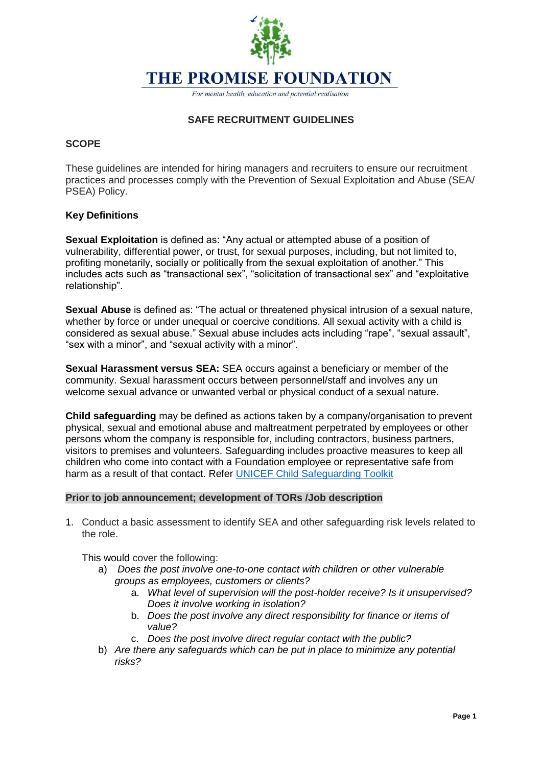# **THE PROMISE FOUNDATION**

For mental health, education and potential realisation

# **SAFE RECRUITMENT GUIDELINES**

## **SCOPE**

These guidelines are intended for hiring managers and recruiters to ensure our recruitment practices and processes comply with the Prevention of Sexual Exploitation and Abuse (SEA/ PSEA) Policy.

# **Key Definitions**

**Sexual Exploitation** is defined as: "Any actual or attempted abuse of a position of vulnerability, differential power, or trust, for sexual purposes, including, but not limited to, profiting monetarily, socially or politically from the sexual exploitation of another." This includes acts such as "transactional sex", "solicitation of transactional sex" and "exploitative relationship".

**Sexual Abuse** is defined as: "The actual or threatened physical intrusion of a sexual nature, whether by force or under unequal or coercive conditions. All sexual activity with a child is considered as sexual abuse." Sexual abuse includes acts including "rape", "sexual assault", "sex with a minor", and "sexual activity with a minor".

**Sexual Harassment versus SEA:** SEA occurs against a beneficiary or member of the community. Sexual harassment occurs between personnel/staff and involves any un welcome sexual advance or unwanted verbal or physical conduct of a sexual nature.

**Child safeguarding** may be defined as actions taken by a company/organisation to prevent physical, sexual and emotional abuse and maltreatment perpetrated by employees or other persons whom the company is responsible for, including contractors, business partners, visitors to premises and volunteers. Safeguarding includes proactive measures to keep all children who come into contact with a Foundation employee or representative safe from harm as a result of that contact. Refer [UNICEF Child Safeguarding Toolkit](https://sites.unicef.org/csr/files/UNICEF_ChildSafeguardingToolkit_FINAL.PDF) 

# **Prior to job announcement; development of TORs /Job description**

1. Conduct a basic assessment to identify SEA and other safeguarding risk levels related to the role.

This would cover the following:

- a) *Does the post involve one-to-one contact with children or other vulnerable groups as employees, customers or clients?*
	- a. *What level of supervision will the post-holder receive? Is it unsupervised? Does it involve working in isolation?*
	- b. *Does the post involve any direct responsibility for finance or items of value?*
	- c. *Does the post involve direct regular contact with the public?*
- b) *Are there any safeguards which can be put in place to minimize any potential risks?*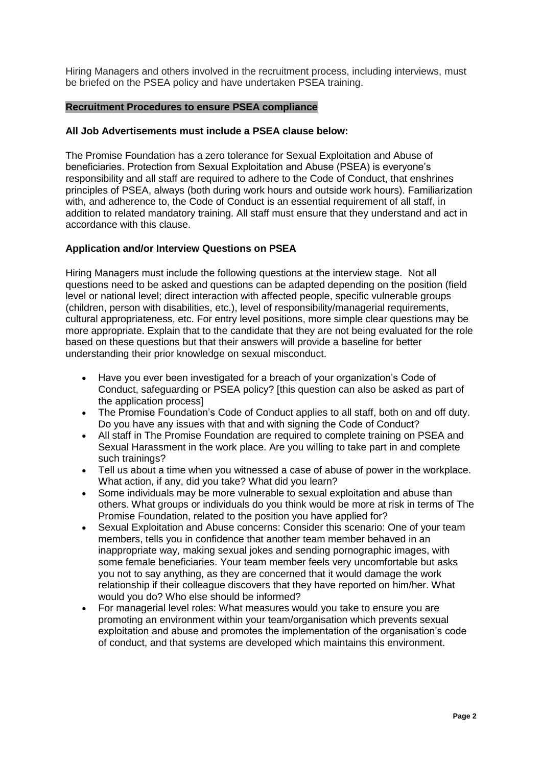Hiring Managers and others involved in the recruitment process, including interviews, must be briefed on the PSEA policy and have undertaken PSEA training.

#### **Recruitment Procedures to ensure PSEA compliance**

#### **All Job Advertisements must include a PSEA clause below:**

The Promise Foundation has a zero tolerance for Sexual Exploitation and Abuse of beneficiaries. Protection from Sexual Exploitation and Abuse (PSEA) is everyone's responsibility and all staff are required to adhere to the Code of Conduct, that enshrines principles of PSEA, always (both during work hours and outside work hours). Familiarization with, and adherence to, the Code of Conduct is an essential requirement of all staff, in addition to related mandatory training. All staff must ensure that they understand and act in accordance with this clause.

#### **Application and/or Interview Questions on PSEA**

Hiring Managers must include the following questions at the interview stage. Not all questions need to be asked and questions can be adapted depending on the position (field level or national level; direct interaction with affected people, specific vulnerable groups (children, person with disabilities, etc.), level of responsibility/managerial requirements, cultural appropriateness, etc. For entry level positions, more simple clear questions may be more appropriate. Explain that to the candidate that they are not being evaluated for the role based on these questions but that their answers will provide a baseline for better understanding their prior knowledge on sexual misconduct.

- Have you ever been investigated for a breach of your organization's Code of Conduct, safeguarding or PSEA policy? [this question can also be asked as part of the application process]
- The Promise Foundation's Code of Conduct applies to all staff, both on and off duty. Do you have any issues with that and with signing the Code of Conduct?
- All staff in The Promise Foundation are required to complete training on PSEA and Sexual Harassment in the work place. Are you willing to take part in and complete such trainings?
- Tell us about a time when you witnessed a case of abuse of power in the workplace. What action, if any, did you take? What did you learn?
- Some individuals may be more vulnerable to sexual exploitation and abuse than others. What groups or individuals do you think would be more at risk in terms of The Promise Foundation, related to the position you have applied for?
- Sexual Exploitation and Abuse concerns: Consider this scenario: One of your team members, tells you in confidence that another team member behaved in an inappropriate way, making sexual jokes and sending pornographic images, with some female beneficiaries. Your team member feels very uncomfortable but asks you not to say anything, as they are concerned that it would damage the work relationship if their colleague discovers that they have reported on him/her. What would you do? Who else should be informed?
- For managerial level roles: What measures would you take to ensure you are promoting an environment within your team/organisation which prevents sexual exploitation and abuse and promotes the implementation of the organisation's code of conduct, and that systems are developed which maintains this environment.